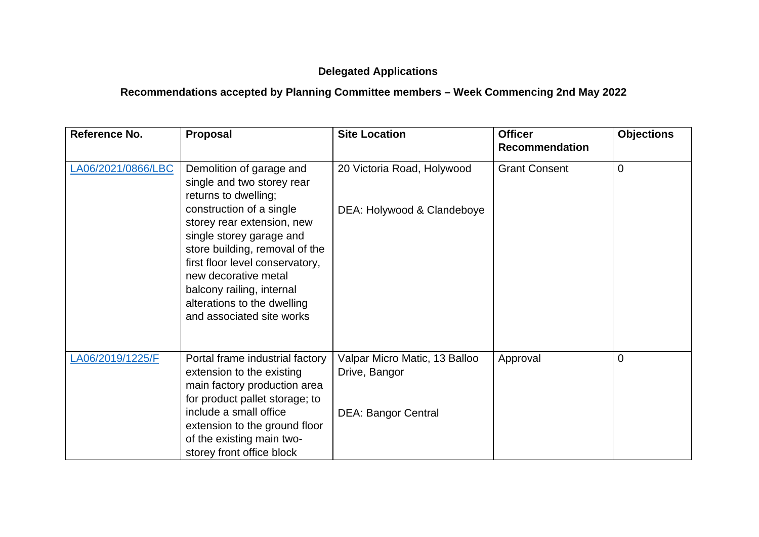## **Delegated Applications**

## **Recommendations accepted by Planning Committee members – Week Commencing 2nd May 2022**

| Reference No.      | Proposal                                                                                                                                                                                                                                                                 | <b>Site Location</b>                           | <b>Officer</b><br><b>Recommendation</b> | <b>Objections</b> |
|--------------------|--------------------------------------------------------------------------------------------------------------------------------------------------------------------------------------------------------------------------------------------------------------------------|------------------------------------------------|-----------------------------------------|-------------------|
| LA06/2021/0866/LBC | Demolition of garage and<br>single and two storey rear<br>returns to dwelling;                                                                                                                                                                                           | 20 Victoria Road, Holywood                     | <b>Grant Consent</b>                    | 0                 |
|                    | construction of a single<br>storey rear extension, new<br>single storey garage and<br>store building, removal of the<br>first floor level conservatory,<br>new decorative metal<br>balcony railing, internal<br>alterations to the dwelling<br>and associated site works | DEA: Holywood & Clandeboye                     |                                         |                   |
| LA06/2019/1225/F   | Portal frame industrial factory<br>extension to the existing<br>main factory production area<br>for product pallet storage; to                                                                                                                                           | Valpar Micro Matic, 13 Balloo<br>Drive, Bangor | Approval                                | 0                 |
|                    | include a small office<br>extension to the ground floor<br>of the existing main two-<br>storey front office block                                                                                                                                                        | <b>DEA: Bangor Central</b>                     |                                         |                   |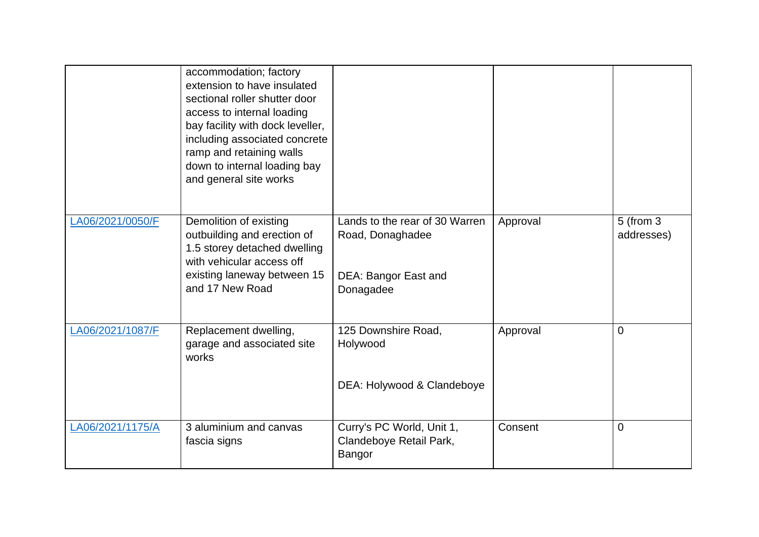|                  | accommodation; factory<br>extension to have insulated<br>sectional roller shutter door<br>access to internal loading<br>bay facility with dock leveller,<br>including associated concrete<br>ramp and retaining walls<br>down to internal loading bay<br>and general site works |                                                                                         |          |                             |
|------------------|---------------------------------------------------------------------------------------------------------------------------------------------------------------------------------------------------------------------------------------------------------------------------------|-----------------------------------------------------------------------------------------|----------|-----------------------------|
| LA06/2021/0050/F | Demolition of existing<br>outbuilding and erection of<br>1.5 storey detached dwelling<br>with vehicular access off<br>existing laneway between 15<br>and 17 New Road                                                                                                            | Lands to the rear of 30 Warren<br>Road, Donaghadee<br>DEA: Bangor East and<br>Donagadee | Approval | $5$ (from $3$<br>addresses) |
| LA06/2021/1087/F | Replacement dwelling,<br>garage and associated site<br>works                                                                                                                                                                                                                    | 125 Downshire Road,<br>Holywood<br>DEA: Holywood & Clandeboye                           | Approval | $\mathbf 0$                 |
| LA06/2021/1175/A | 3 aluminium and canvas<br>fascia signs                                                                                                                                                                                                                                          | Curry's PC World, Unit 1,<br>Clandeboye Retail Park,<br>Bangor                          | Consent  | $\overline{0}$              |